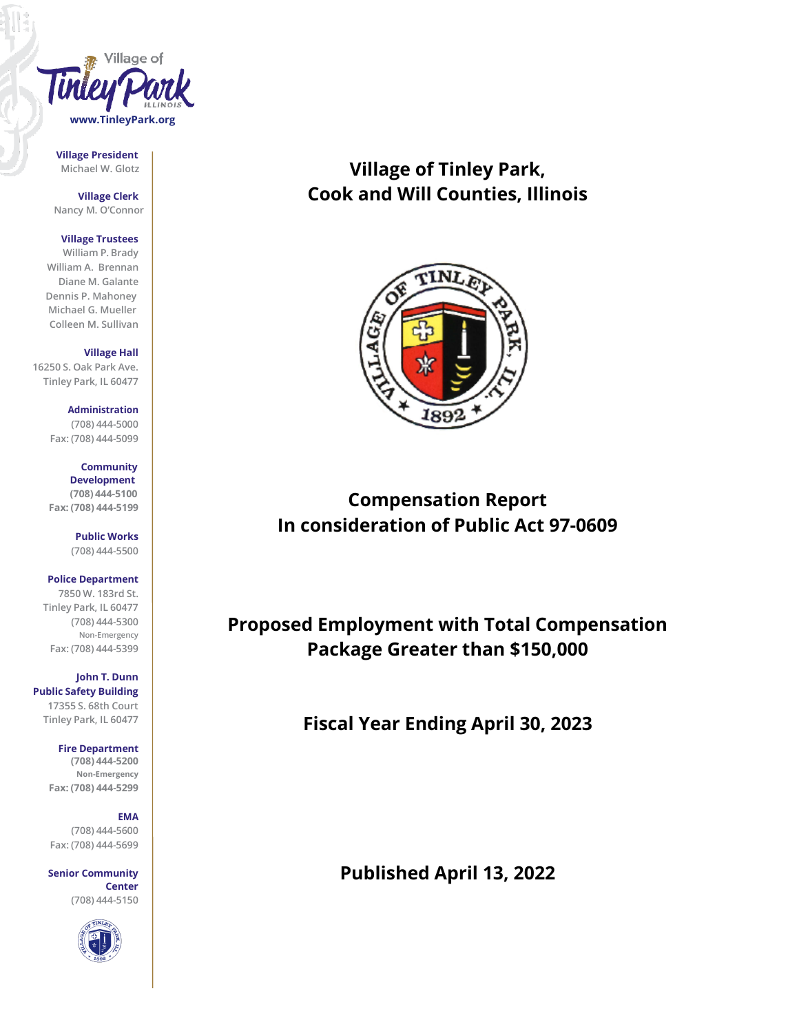

**Village President**

**Village Clerk Nancy M. O'Connor**

#### **Village Trustees**

**William P. Brady William A. Brennan Diane M. Galante Dennis P. Mahoney Michael G. Mueller Colleen M. Sullivan**

**Village Hall 16250 S. Oak Park Ave.**

**Tinley Park, IL 60477**

**Administration (708) 444-5000 Fax: (708) 444-5099**

> **Community Development (708) 444-5100**

**Fax: (708) 444-5199**

**Public Works (708) 444-5500**

**Police Department 7850 W. 183rd St. Tinley Park, IL 60477 (708) 444-5300 Non-Emergency Fax: (708) 444-5399**

**John T. Dunn Public Safety Building 17355 S. 68th Court Tinley Park, IL 60477**

**Fire Department**

**(708) 444-5200 Non-Emergency Fax: (708) 444-5299**

## **EMA**

**(708) 444-5600 Fax: (708) 444-5699**

**Senior Community Center (708) 444-5150**



# **Michael W. Glotz Village of Tinley Park, Cook and Will Counties, Illinois**



# **Compensation Report In consideration of Public Act 97-0609**

**Proposed Employment with Total Compensation Package Greater than \$150,000**

**Fiscal Year Ending April 30, 2023**

**Published April 13, 2022**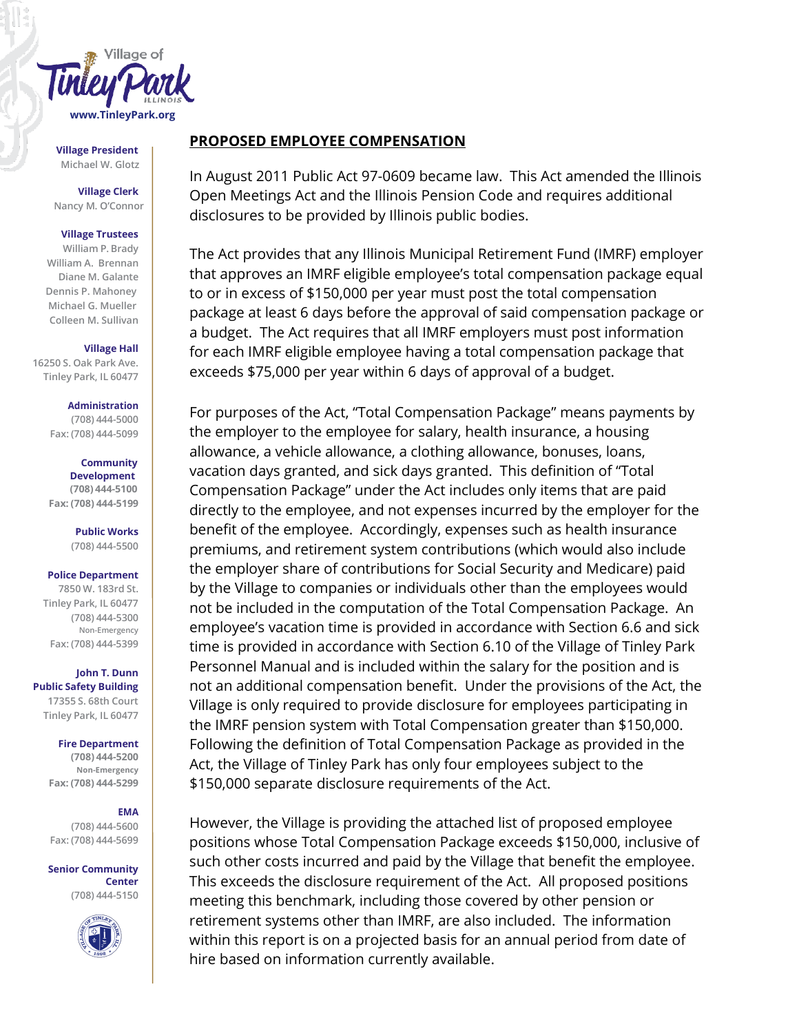

**Village President Michael W. Glotz**

**Village Clerk Nancy M. O'Connor**

### **Village Trustees**

**William P. Brady William A. Brennan Diane M. Galante Dennis P. Mahoney Michael G. Mueller Colleen M. Sullivan**

### **Village Hall**

**16250 S. Oak Park Ave. Tinley Park, IL 60477**

### **Administration**

**(708) 444-5000 Fax: (708) 444-5099**

## **Community**

**Development (708) 444-5100 Fax: (708) 444-5199**

> **Public Works (708) 444-5500**

### **Police Department**

**7850 W. 183rd St. Tinley Park, IL 60477 (708) 444-5300 Non-Emergency Fax: (708) 444-5399**

**John T. Dunn Public Safety Building 17355 S. 68th Court Tinley Park, IL 60477**

**Fire Department**

**(708) 444-5200 Non-Emergency Fax: (708) 444-5299**

## **EMA**

**(708) 444-5600 Fax: (708) 444-5699**

**Senior Community Center (708) 444-5150**



## **PROPOSED EMPLOYEE COMPENSATION**

In August 2011 Public Act 97-0609 became law. This Act amended the Illinois Open Meetings Act and the Illinois Pension Code and requires additional disclosures to be provided by Illinois public bodies.

The Act provides that any Illinois Municipal Retirement Fund (IMRF) employer that approves an IMRF eligible employee's total compensation package equal to or in excess of \$150,000 per year must post the total compensation package at least 6 days before the approval of said compensation package or a budget. The Act requires that all IMRF employers must post information for each IMRF eligible employee having a total compensation package that exceeds \$75,000 per year within 6 days of approval of a budget.

For purposes of the Act, "Total Compensation Package" means payments by the employer to the employee for salary, health insurance, a housing allowance, a vehicle allowance, a clothing allowance, bonuses, loans, vacation days granted, and sick days granted. This definition of "Total Compensation Package" under the Act includes only items that are paid directly to the employee, and not expenses incurred by the employer for the benefit of the employee. Accordingly, expenses such as health insurance premiums, and retirement system contributions (which would also include the employer share of contributions for Social Security and Medicare) paid by the Village to companies or individuals other than the employees would not be included in the computation of the Total Compensation Package. An employee's vacation time is provided in accordance with Section 6.6 and sick time is provided in accordance with Section 6.10 of the Village of Tinley Park Personnel Manual and is included within the salary for the position and is not an additional compensation benefit. Under the provisions of the Act, the Village is only required to provide disclosure for employees participating in the IMRF pension system with Total Compensation greater than \$150,000. Following the definition of Total Compensation Package as provided in the Act, the Village of Tinley Park has only four employees subject to the \$150,000 separate disclosure requirements of the Act.

However, the Village is providing the attached list of proposed employee positions whose Total Compensation Package exceeds \$150,000, inclusive of such other costs incurred and paid by the Village that benefit the employee. This exceeds the disclosure requirement of the Act. All proposed positions meeting this benchmark, including those covered by other pension or retirement systems other than IMRF, are also included. The information within this report is on a projected basis for an annual period from date of hire based on information currently available.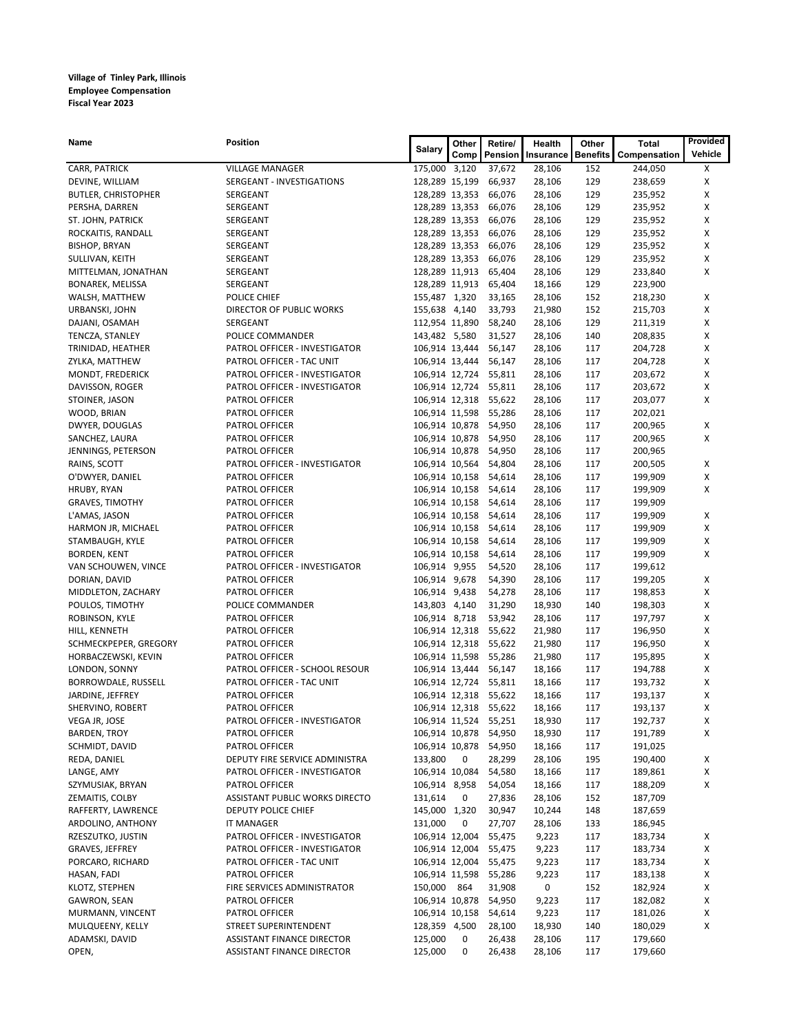## **Village of Tinley Park, Illinois Employee Compensation Fiscal Year 2023**

| Name                               | Position                                                   | Salary                           | Other | Retire/               | Health           | Other           | Total              | Provided |
|------------------------------------|------------------------------------------------------------|----------------------------------|-------|-----------------------|------------------|-----------------|--------------------|----------|
|                                    |                                                            |                                  | Comp  | Pension               | Insurance        | <b>Benefits</b> | Compensation       | Vehicle  |
| CARR, PATRICK                      | <b>VILLAGE MANAGER</b>                                     | 175,000 3,120                    |       | 37,672                | 28,106           | 152             | 244,050            | Х        |
| DEVINE, WILLIAM                    | SERGEANT - INVESTIGATIONS                                  | 128,289 15,199                   |       | 66,937                | 28,106           | 129             | 238,659            | X        |
| <b>BUTLER, CHRISTOPHER</b>         | SERGEANT                                                   | 128,289 13,353                   |       | 66,076                | 28,106           | 129             | 235,952            | х        |
| PERSHA, DARREN                     | SERGEANT                                                   | 128,289 13,353                   |       | 66,076                | 28,106           | 129             | 235,952            | х        |
| ST. JOHN, PATRICK                  | SERGEANT                                                   | 128,289 13,353                   |       | 66,076                | 28,106           | 129             | 235,952            | X        |
| ROCKAITIS, RANDALL                 | SERGEANT                                                   | 128,289 13,353                   |       | 66,076                | 28,106           | 129             | 235,952            | X        |
| <b>BISHOP, BRYAN</b>               | SERGEANT                                                   | 128,289 13,353                   |       | 66,076                | 28,106           | 129             | 235,952            | х        |
| SULLIVAN, KEITH                    | SERGEANT                                                   | 128,289 13,353                   |       | 66,076                | 28,106           | 129             | 235,952            | X        |
| MITTELMAN, JONATHAN                | SERGEANT                                                   | 128,289 11,913                   |       | 65,404                | 28,106           | 129             | 233,840            | х        |
| <b>BONAREK, MELISSA</b>            | SERGEANT                                                   | 128,289 11,913                   |       | 65,404                | 18,166           | 129             | 223,900            |          |
| WALSH, MATTHEW                     | POLICE CHIEF                                               | 155,487 1,320                    |       | 33,165                | 28,106           | 152             | 218,230            | х        |
| URBANSKI, JOHN                     | DIRECTOR OF PUBLIC WORKS                                   | 155,638 4,140                    |       | 33,793<br>58,240      | 21,980           | 152             | 215,703            | X        |
| DAJANI, OSAMAH                     | SERGEANT<br>POLICE COMMANDER                               | 112,954 11,890                   |       | 31,527                | 28,106<br>28,106 | 129<br>140      | 211,319<br>208,835 | х<br>х   |
| TENCZA, STANLEY                    |                                                            | 143,482 5,580                    |       |                       |                  |                 |                    |          |
| TRINIDAD, HEATHER                  | PATROL OFFICER - INVESTIGATOR<br>PATROL OFFICER - TAC UNIT | 106,914 13,444<br>106,914 13,444 |       | 56,147<br>56,147      | 28,106<br>28,106 | 117<br>117      | 204,728            | х<br>X   |
| ZYLKA, MATTHEW<br>MONDT, FREDERICK | PATROL OFFICER - INVESTIGATOR                              |                                  |       | 106,914 12,724 55,811 | 28,106           | 117             | 204,728<br>203,672 | х        |
| DAVISSON, ROGER                    | PATROL OFFICER - INVESTIGATOR                              |                                  |       | 106,914 12,724 55,811 | 28,106           | 117             | 203,672            | X        |
| STOINER, JASON                     | PATROL OFFICER                                             | 106,914 12,318                   |       | 55,622                | 28,106           | 117             | 203,077            | X        |
| WOOD, BRIAN                        | PATROL OFFICER                                             |                                  |       | 106,914 11,598 55,286 | 28,106           | 117             | 202,021            |          |
| DWYER, DOUGLAS                     | PATROL OFFICER                                             |                                  |       | 106,914 10,878 54,950 | 28,106           | 117             | 200,965            | х        |
| SANCHEZ, LAURA                     | PATROL OFFICER                                             | 106,914 10,878                   |       | 54,950                | 28,106           | 117             | 200,965            | X        |
| JENNINGS, PETERSON                 | PATROL OFFICER                                             | 106,914 10,878                   |       | 54,950                | 28,106           | 117             | 200,965            |          |
| RAINS, SCOTT                       | PATROL OFFICER - INVESTIGATOR                              | 106,914 10,564                   |       | 54,804                | 28,106           | 117             | 200,505            | х        |
| O'DWYER, DANIEL                    | PATROL OFFICER                                             | 106,914 10,158                   |       | 54,614                | 28,106           | 117             | 199,909            | х        |
| HRUBY, RYAN                        | PATROL OFFICER                                             | 106,914 10,158                   |       | 54,614                | 28,106           | 117             | 199,909            | X        |
| <b>GRAVES, TIMOTHY</b>             | PATROL OFFICER                                             | 106,914 10,158                   |       | 54,614                | 28,106           | 117             | 199,909            |          |
| L'AMAS, JASON                      | PATROL OFFICER                                             |                                  |       | 106,914 10,158 54,614 | 28,106           | 117             | 199,909            | х        |
| HARMON JR, MICHAEL                 | PATROL OFFICER                                             | 106,914 10,158                   |       | 54,614                | 28,106           | 117             | 199,909            | х        |
| STAMBAUGH, KYLE                    | PATROL OFFICER                                             | 106,914 10,158                   |       | 54,614                | 28,106           | 117             | 199,909            | X        |
| BORDEN, KENT                       | PATROL OFFICER                                             | 106,914 10,158                   |       | 54,614                | 28,106           | 117             | 199,909            | х        |
| VAN SCHOUWEN, VINCE                | PATROL OFFICER - INVESTIGATOR                              | 106,914 9,955                    |       | 54,520                | 28,106           | 117             | 199,612            |          |
| DORIAN, DAVID                      | PATROL OFFICER                                             | 106,914 9,678                    |       | 54,390                | 28,106           | 117             | 199,205            | Х        |
| MIDDLETON, ZACHARY                 | PATROL OFFICER                                             | 106,914 9,438                    |       | 54,278                | 28,106           | 117             | 198,853            | X        |
| POULOS, TIMOTHY                    | POLICE COMMANDER                                           | 143,803 4,140                    |       | 31,290                | 18,930           | 140             | 198,303            | х        |
| ROBINSON, KYLE                     | PATROL OFFICER                                             | 106,914 8,718                    |       | 53,942                | 28,106           | 117             | 197,797            | X        |
| HILL, KENNETH                      | PATROL OFFICER                                             | 106,914 12,318                   |       | 55,622                | 21,980           | 117             | 196,950            | х        |
| SCHMECKPEPER, GREGORY              | PATROL OFFICER                                             | 106,914 12,318                   |       | 55,622                | 21,980           | 117             | 196,950            | х        |
| HORBACZEWSKI, KEVIN                | <b>PATROL OFFICER</b>                                      | 106,914 11,598                   |       | 55,286                | 21,980           | 117             | 195,895            | X        |
| LONDON, SONNY                      | PATROL OFFICER - SCHOOL RESOUR                             | 106,914 13,444                   |       | 56,147                | 18,166           | 117             | 194,788            | х        |
| BORROWDALE, RUSSELL                | PATROL OFFICER - TAC UNIT                                  | 106,914 12,724                   |       | 55,811                | 18,166           | 117             | 193,732            | X        |
| JARDINE, JEFFREY                   | PATROL OFFICER                                             |                                  |       | 106,914 12,318 55,622 | 18,166           | 117             | 193,137            | х        |
| SHERVINO, ROBERT                   | PATROL OFFICER                                             |                                  |       | 106,914 12,318 55,622 | 18,166           | 117             | 193,137            | х        |
| VEGA JR, JOSE                      | PATROL OFFICER - INVESTIGATOR                              |                                  |       | 106,914 11,524 55,251 | 18,930           | 117             | 192,737            | X        |
| <b>BARDEN, TROY</b>                | PATROL OFFICER                                             |                                  |       | 106,914 10,878 54,950 | 18,930           | 117             | 191,789            | Х        |
| SCHMIDT, DAVID                     | PATROL OFFICER                                             | 106,914 10,878                   |       | 54,950                | 18,166           | 117             | 191,025            |          |
| REDA, DANIEL                       | DEPUTY FIRE SERVICE ADMINISTRA                             | 133,800                          | 0     | 28,299                | 28,106           | 195             | 190,400            | х        |
| LANGE, AMY                         | PATROL OFFICER - INVESTIGATOR                              | 106,914 10,084                   |       | 54,580                | 18,166           | 117             | 189,861            | х        |
| SZYMUSIAK, BRYAN                   | PATROL OFFICER                                             | 106,914 8,958                    |       | 54,054                | 18,166           | 117             | 188,209            | Х        |
| ZEMAITIS, COLBY                    | ASSISTANT PUBLIC WORKS DIRECTO                             | 131,614                          | 0     | 27,836                | 28,106           | 152             | 187,709            |          |
| RAFFERTY, LAWRENCE                 | DEPUTY POLICE CHIEF                                        | 145,000 1,320                    |       | 30,947                | 10,244           | 148             | 187,659            |          |
| ARDOLINO, ANTHONY                  | IT MANAGER                                                 | 131,000                          | 0     | 27,707                | 28,106           | 133             | 186,945            |          |
| RZESZUTKO, JUSTIN                  | PATROL OFFICER - INVESTIGATOR                              | 106,914 12,004                   |       | 55,475                | 9,223            | 117             | 183,734            | х        |
| GRAVES, JEFFREY                    | PATROL OFFICER - INVESTIGATOR                              | 106,914 12,004                   |       | 55,475                | 9,223            | 117             | 183,734            | х        |
| PORCARO, RICHARD                   | PATROL OFFICER - TAC UNIT                                  | 106,914 12,004                   |       | 55,475                | 9,223            | 117             | 183,734            | х        |
| HASAN, FADI                        | PATROL OFFICER                                             | 106,914 11,598                   |       | 55,286                | 9,223            | 117             | 183,138            | X        |
| KLOTZ, STEPHEN                     | FIRE SERVICES ADMINISTRATOR                                | 150,000                          | 864   | 31,908                | 0                | 152             | 182,924            | х        |
| GAWRON, SEAN                       | PATROL OFFICER                                             | 106,914 10,878                   |       | 54,950                | 9,223            | 117             | 182,082            | X        |
| MURMANN, VINCENT                   | PATROL OFFICER                                             | 106,914 10,158                   |       | 54,614                | 9,223            | 117             | 181,026            | х        |
| MULQUEENY, KELLY                   | STREET SUPERINTENDENT                                      | 128,359 4,500                    |       | 28,100                | 18,930           | 140             | 180,029            | X        |
| ADAMSKI, DAVID                     | ASSISTANT FINANCE DIRECTOR                                 | 125,000                          | 0     | 26,438                | 28,106           | 117             | 179,660            |          |
| OPEN,                              | ASSISTANT FINANCE DIRECTOR                                 | 125,000                          | 0     | 26,438                | 28,106           | 117             | 179,660            |          |